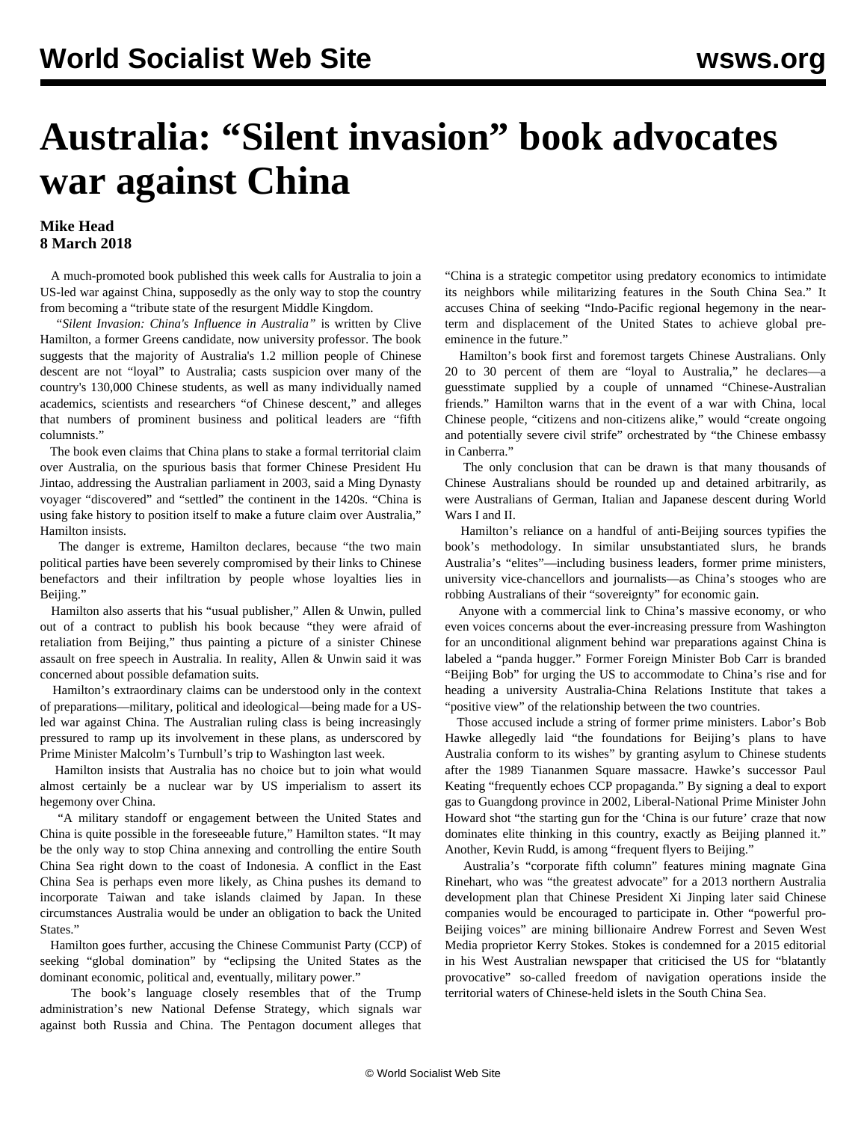## **Australia: "Silent invasion" book advocates war against China**

## **Mike Head 8 March 2018**

 A much-promoted book published this week calls for Australia to join a US-led war against China, supposedly as the only way to stop the country from becoming a "tribute state of the resurgent Middle Kingdom.

 *"Silent Invasion: China's Influence in Australia"* is written by Clive Hamilton, a former Greens candidate, now university professor. The book suggests that the majority of Australia's 1.2 million people of Chinese descent are not "loyal" to Australia; casts suspicion over many of the country's 130,000 Chinese students, as well as many individually named academics, scientists and researchers "of Chinese descent," and alleges that numbers of prominent business and political leaders are "fifth columnists."

 The book even claims that China plans to stake a formal territorial claim over Australia, on the spurious basis that former Chinese President Hu Jintao, addressing the Australian parliament in 2003, said a Ming Dynasty voyager "discovered" and "settled" the continent in the 1420s. "China is using fake history to position itself to make a future claim over Australia," Hamilton insists.

 The danger is extreme, Hamilton declares, because "the two main political parties have been severely compromised by their links to Chinese benefactors and their infiltration by people whose loyalties lies in Beijing."

 Hamilton also asserts that his "usual publisher," Allen & Unwin, pulled out of a contract to publish his book because "they were afraid of retaliation from Beijing," thus painting a picture of a sinister Chinese assault on free speech in Australia. In reality, Allen & Unwin said it was concerned about possible defamation suits.

 Hamilton's extraordinary claims can be understood only in the context of preparations—military, political and ideological—being made for a USled war against China. The Australian ruling class is being increasingly pressured to ramp up its involvement in these plans, as underscored by Prime Minister Malcolm's Turnbull's [trip](/en/articles/2018/02/26/joyc-f26.html) to Washington last week.

 Hamilton insists that Australia has no choice but to join what would almost certainly be a nuclear war by US imperialism to assert its hegemony over China.

 "A military standoff or engagement between the United States and China is quite possible in the foreseeable future," Hamilton states. "It may be the only way to stop China annexing and controlling the entire South China Sea right down to the coast of Indonesia. A conflict in the East China Sea is perhaps even more likely, as China pushes its demand to incorporate Taiwan and take islands claimed by Japan. In these circumstances Australia would be under an obligation to back the United States."

 Hamilton goes further, accusing the Chinese Communist Party (CCP) of seeking "global domination" by "eclipsing the United States as the dominant economic, political and, eventually, military power."

 The book's language closely resembles that of the Trump administration's new [National Defense Strategy,](/en/articles/2018/01/20/ndst-j20.html) which signals war against both Russia and China. The Pentagon document alleges that "China is a strategic competitor using predatory economics to intimidate its neighbors while militarizing features in the South China Sea." It accuses China of seeking "Indo-Pacific regional hegemony in the nearterm and displacement of the United States to achieve global preeminence in the future."

 Hamilton's book first and foremost targets Chinese Australians. Only 20 to 30 percent of them are "loyal to Australia," he declares—a guesstimate supplied by a couple of unnamed "Chinese-Australian friends." Hamilton warns that in the event of a war with China, local Chinese people, "citizens and non-citizens alike," would "create ongoing and potentially severe civil strife" orchestrated by "the Chinese embassy in Canberra."

 The only conclusion that can be drawn is that many thousands of Chinese Australians should be rounded up and detained arbitrarily, as were Australians of German, Italian and Japanese descent during World Wars I and II.

 Hamilton's reliance on a handful of anti-Beijing sources typifies the book's methodology. In similar unsubstantiated slurs, he brands Australia's "elites"—including business leaders, former prime ministers, university vice-chancellors and journalists—as China's stooges who are robbing Australians of their "sovereignty" for economic gain.

 Anyone with a commercial link to China's massive economy, or who even voices concerns about the ever-increasing pressure from Washington for an unconditional alignment behind war preparations against China is labeled a "panda hugger." Former Foreign Minister Bob Carr is branded "Beijing Bob" for urging the US to accommodate to China's rise and for heading a university Australia-China Relations Institute that takes a "positive view" of the relationship between the two countries.

 Those accused include a string of former prime ministers. Labor's Bob Hawke allegedly laid "the foundations for Beijing's plans to have Australia conform to its wishes" by granting asylum to Chinese students after the 1989 Tiananmen Square massacre. Hawke's successor Paul Keating "frequently echoes CCP propaganda." By signing a deal to export gas to Guangdong province in 2002, Liberal-National Prime Minister John Howard shot "the starting gun for the 'China is our future' craze that now dominates elite thinking in this country, exactly as Beijing planned it." Another, Kevin Rudd, is among "frequent flyers to Beijing."

 Australia's "corporate fifth column" features mining magnate Gina Rinehart, who was "the greatest advocate" for a 2013 northern Australia development plan that Chinese President Xi Jinping later said Chinese companies would be encouraged to participate in. Other "powerful pro-Beijing voices" are mining billionaire Andrew Forrest and Seven West Media proprietor Kerry Stokes. Stokes is condemned for a 2015 editorial in his West Australian newspaper that criticised the US for "blatantly provocative" so-called freedom of navigation operations inside the territorial waters of Chinese-held islets in the South China Sea.